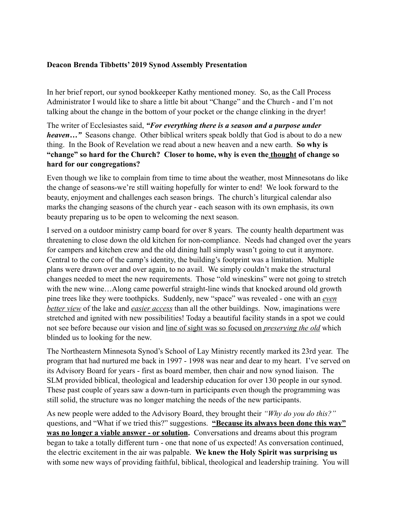## **Deacon Brenda Tibbetts' 2019 Synod Assembly Presentation**

In her brief report, our synod bookkeeper Kathy mentioned money. So, as the Call Process Administrator I would like to share a little bit about "Change" and the Church - and I'm not talking about the change in the bottom of your pocket or the change clinking in the dryer!

The writer of Ecclesiastes said, *"For everything there is a season and a purpose under heaven…"* Seasons change. Other biblical writers speak boldly that God is about to do a new thing. In the Book of Revelation we read about a new heaven and a new earth. **So why is "change" so hard for the Church? Closer to home, why is even the thought of change so hard for our congregations?** 

Even though we like to complain from time to time about the weather, most Minnesotans do like the change of seasons-we're still waiting hopefully for winter to end! We look forward to the beauty, enjoyment and challenges each season brings. The church's liturgical calendar also marks the changing seasons of the church year - each season with its own emphasis, its own beauty preparing us to be open to welcoming the next season.

I served on a outdoor ministry camp board for over 8 years. The county health department was threatening to close down the old kitchen for non-compliance. Needs had changed over the years for campers and kitchen crew and the old dining hall simply wasn't going to cut it anymore. Central to the core of the camp's identity, the building's footprint was a limitation. Multiple plans were drawn over and over again, to no avail. We simply couldn't make the structural changes needed to meet the new requirements. Those "old wineskins" were not going to stretch with the new wine…Along came powerful straight-line winds that knocked around old growth pine trees like they were toothpicks. Suddenly, new "space" was revealed - one with an *even better view* of the lake and *easier access* than all the other buildings. Now, imaginations were stretched and ignited with new possibilities! Today a beautiful facility stands in a spot we could not see before because our vision and line of sight was so focused on *preserving the old* which blinded us to looking for the new.

The Northeastern Minnesota Synod's School of Lay Ministry recently marked its 23rd year. The program that had nurtured me back in 1997 - 1998 was near and dear to my heart. I've served on its Advisory Board for years - first as board member, then chair and now synod liaison. The SLM provided biblical, theological and leadership education for over 130 people in our synod. These past couple of years saw a down-turn in participants even though the programming was still solid, the structure was no longer matching the needs of the new participants.

As new people were added to the Advisory Board, they brought their *"Why do you do this?"*  questions, and "What if we tried this?" suggestions. **"Because its always been done this way" was no longer a viable answer - or solution.** Conversations and dreams about this program began to take a totally different turn - one that none of us expected! As conversation continued, the electric excitement in the air was palpable. **We knew the Holy Spirit was surprising us** with some new ways of providing faithful, biblical, theological and leadership training. You will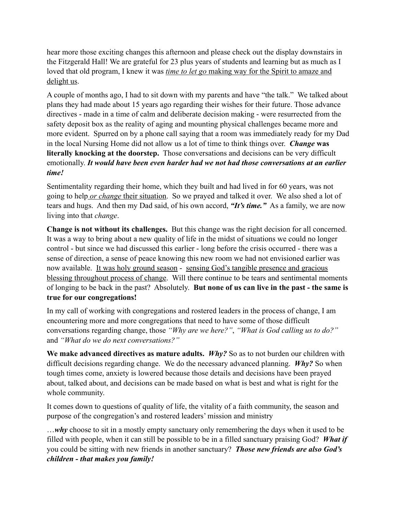hear more those exciting changes this afternoon and please check out the display downstairs in the Fitzgerald Hall! We are grateful for 23 plus years of students and learning but as much as I loved that old program, I knew it was *time to let go* making way for the Spirit to amaze and delight us.

A couple of months ago, I had to sit down with my parents and have "the talk." We talked about plans they had made about 15 years ago regarding their wishes for their future. Those advance directives - made in a time of calm and deliberate decision making - were resurrected from the safety deposit box as the reality of aging and mounting physical challenges became more and more evident. Spurred on by a phone call saying that a room was immediately ready for my Dad in the local Nursing Home did not allow us a lot of time to think things over. *Change* **was literally knocking at the doorstep.** Those conversations and decisions can be very difficult emotionally. *It would have been even harder had we not had those conversations at an earlier time!* 

Sentimentality regarding their home, which they built and had lived in for 60 years, was not going to help *or change* their situation. So we prayed and talked it over. We also shed a lot of tears and hugs. And then my Dad said, of his own accord, *"It's time."* As a family, we are now living into that *change*.

**Change is not without its challenges.** But this change was the right decision for all concerned. It was a way to bring about a new quality of life in the midst of situations we could no longer control - but since we had discussed this earlier - long before the crisis occurred - there was a sense of direction, a sense of peace knowing this new room we had not envisioned earlier was now available. It was holy ground season - sensing God's tangible presence and gracious blessing throughout process of change. Will there continue to be tears and sentimental moments of longing to be back in the past? Absolutely. **But none of us can live in the past - the same is true for our congregations!** 

In my call of working with congregations and rostered leaders in the process of change, I am encountering more and more congregations that need to have some of those difficult conversations regarding change, those *"Why are we here?"*, *"What is God calling us to do?"* and *"What do we do next conversations?"* 

We make advanced directives as mature adults. *Why?* So as to not burden our children with difficult decisions regarding change. We do the necessary advanced planning. *Why?* So when tough times come, anxiety is lowered because those details and decisions have been prayed about, talked about, and decisions can be made based on what is best and what is right for the whole community.

It comes down to questions of quality of life, the vitality of a faith community, the season and purpose of the congregation's and rostered leaders' mission and ministry

…*why* choose to sit in a mostly empty sanctuary only remembering the days when it used to be filled with people, when it can still be possible to be in a filled sanctuary praising God? *What if*  you could be sitting with new friends in another sanctuary? *Those new friends are also God's children - that makes you family!*